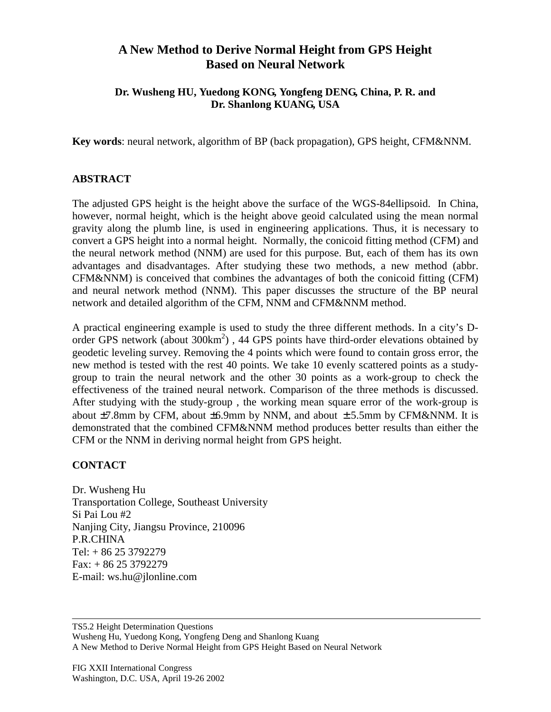## **A New Method to Derive Normal Height from GPS Height Based on Neural Network**

## **Dr. Wusheng HU, Yuedong KONG, Yongfeng DENG, China, P. R. and Dr. Shanlong KUANG, USA**

**Key words**: neural network, algorithm of BP (back propagation), GPS height, CFM&NNM.

## **ABSTRACT**

The adjusted GPS height is the height above the surface of the WGS-84ellipsoid. In China, however, normal height, which is the height above geoid calculated using the mean normal gravity along the plumb line, is used in engineering applications. Thus, it is necessary to convert a GPS height into a normal height. Normally, the conicoid fitting method (CFM) and the neural network method (NNM) are used for this purpose. But, each of them has its own advantages and disadvantages. After studying these two methods, a new method (abbr. CFM&NNM) is conceived that combines the advantages of both the conicoid fitting (CFM) and neural network method (NNM). This paper discusses the structure of the BP neural network and detailed algorithm of the CFM, NNM and CFM&NNM method.

A practical engineering example is used to study the three different methods. In a city's Dorder GPS network (about 300km<sup>2</sup>), 44 GPS points have third-order elevations obtained by geodetic leveling survey. Removing the 4 points which were found to contain gross error, the new method is tested with the rest 40 points. We take 10 evenly scattered points as a studygroup to train the neural network and the other 30 points as a work-group to check the effectiveness of the trained neural network. Comparison of the three methods is discussed. After studying with the study-group , the working mean square error of the work-group is about  $\pm$ 7.8mm by CFM, about  $\pm$ 6.9mm by NNM, and about  $\pm$  5.5mm by CFM&NNM. It is demonstrated that the combined CFM&NNM method produces better results than either the CFM or the NNM in deriving normal height from GPS height.

## **CONTACT**

Dr. Wusheng Hu Transportation College, Southeast University Si Pai Lou #2 Nanjing City, Jiangsu Province, 210096 P.R.CHINA Tel: + 86 25 3792279 Fax: + 86 25 3792279 E-mail: ws.hu@jlonline.com

TS5.2 Height Determination Questions Wusheng Hu, Yuedong Kong, Yongfeng Deng and Shanlong Kuang A New Method to Derive Normal Height from GPS Height Based on Neural Network